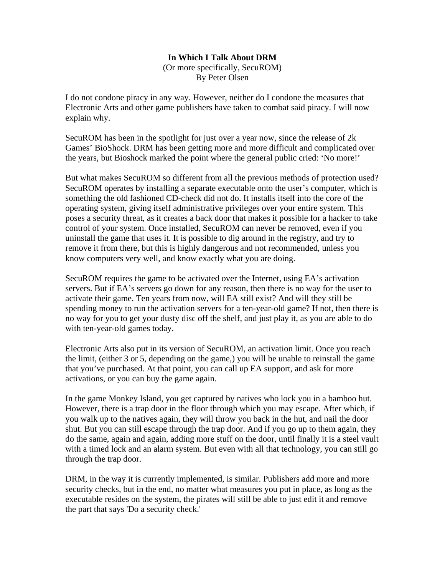## **In Which I Talk About DRM**

(Or more specifically, SecuROM) By Peter Olsen

I do not condone piracy in any way. However, neither do I condone the measures that Electronic Arts and other game publishers have taken to combat said piracy. I will now explain why.

SecuROM has been in the spotlight for just over a year now, since the release of 2k Games' BioShock. DRM has been getting more and more difficult and complicated over the years, but Bioshock marked the point where the general public cried: 'No more!'

But what makes SecuROM so different from all the previous methods of protection used? SecuROM operates by installing a separate executable onto the user's computer, which is something the old fashioned CD-check did not do. It installs itself into the core of the operating system, giving itself administrative privileges over your entire system. This poses a security threat, as it creates a back door that makes it possible for a hacker to take control of your system. Once installed, SecuROM can never be removed, even if you uninstall the game that uses it. It is possible to dig around in the registry, and try to remove it from there, but this is highly dangerous and not recommended, unless you know computers very well, and know exactly what you are doing.

SecuROM requires the game to be activated over the Internet, using EA's activation servers. But if EA's servers go down for any reason, then there is no way for the user to activate their game. Ten years from now, will EA still exist? And will they still be spending money to run the activation servers for a ten-year-old game? If not, then there is no way for you to get your dusty disc off the shelf, and just play it, as you are able to do with ten-year-old games today.

Electronic Arts also put in its version of SecuROM, an activation limit. Once you reach the limit, (either 3 or 5, depending on the game,) you will be unable to reinstall the game that you've purchased. At that point, you can call up EA support, and ask for more activations, or you can buy the game again.

In the game Monkey Island, you get captured by natives who lock you in a bamboo hut. However, there is a trap door in the floor through which you may escape. After which, if you walk up to the natives again, they will throw you back in the hut, and nail the door shut. But you can still escape through the trap door. And if you go up to them again, they do the same, again and again, adding more stuff on the door, until finally it is a steel vault with a timed lock and an alarm system. But even with all that technology, you can still go through the trap door.

DRM, in the way it is currently implemented, is similar. Publishers add more and more security checks, but in the end, no matter what measures you put in place, as long as the executable resides on the system, the pirates will still be able to just edit it and remove the part that says 'Do a security check.'